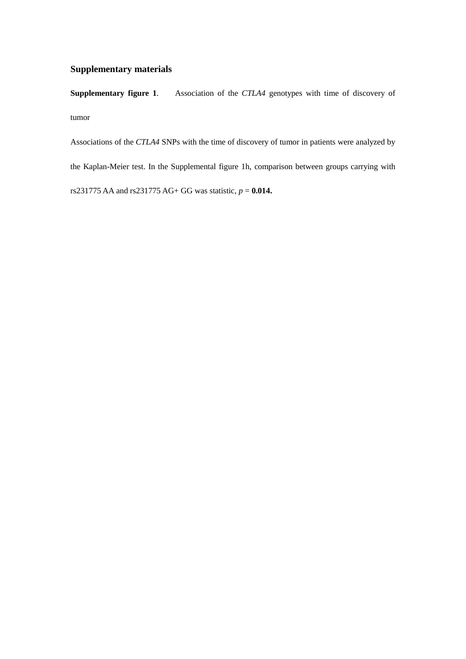## **Supplementary materials**

**Supplementary figure 1**. Association of the *CTLA4* genotypes with time of discovery of tumor

Associations of the *CTLA4* SNPs with the time of discovery of tumor in patients were analyzed by the Kaplan-Meier test. In the Supplemental figure 1h, comparison between groups carrying with rs231775 AA and rs231775 AG+ GG was statistic, *p* = **0.014.**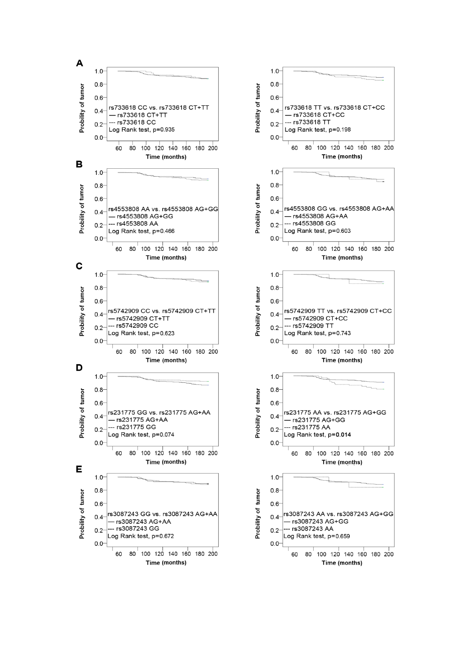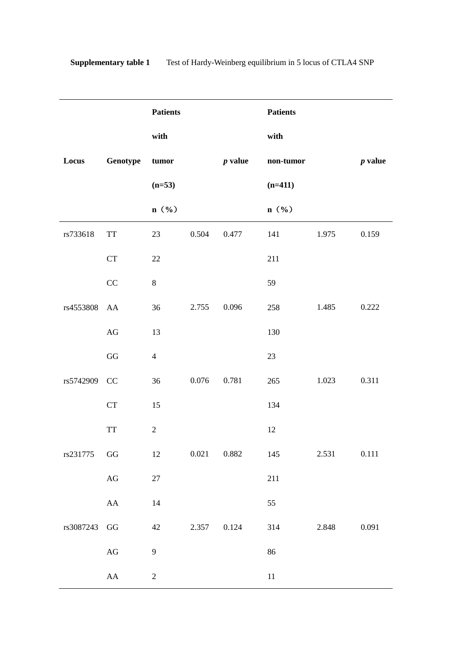|           |                                                    | <b>Patients</b> |       |           | <b>Patients</b> |       |           |
|-----------|----------------------------------------------------|-----------------|-------|-----------|-----------------|-------|-----------|
|           |                                                    | with            |       |           | with            |       |           |
| Locus     | Genotype                                           | tumor           |       | $p$ value | $non-tumor$     |       | $p$ value |
|           |                                                    | $(n=53)$        |       |           | $(n=411)$       |       |           |
|           |                                                    | $n$ (%)         |       |           | n (%)           |       |           |
| rs733618  | $\operatorname{TT}$                                | 23              | 0.504 | 0.477     | 141             | 1.975 | 0.159     |
|           | CT                                                 | 22              |       |           | 211             |       |           |
|           | CC                                                 | $\, 8$          |       |           | 59              |       |           |
| rs4553808 | AA                                                 | 36              | 2.755 | 0.096     | 258             | 1.485 | 0.222     |
|           | $\rm{AG}$                                          | 13              |       |           | 130             |       |           |
|           | GG                                                 | $\overline{4}$  |       |           | 23              |       |           |
| rs5742909 | CC                                                 | 36              | 0.076 | 0.781     | 265             | 1.023 | 0.311     |
|           | CT                                                 | 15              |       |           | 134             |       |           |
|           | $\ensuremath{\mathcal{T}}\ensuremath{\mathcal{T}}$ | $\sqrt{2}$      |       |           | 12              |       |           |
| rs231775  | GG                                                 | 12              | 0.021 | 0.882     | 145             | 2.531 | 0.111     |
|           | $\rm{AG}$                                          | $27\,$          |       |           | 211             |       |           |
|           | ${\rm AA}$                                         | 14              |       |           | 55              |       |           |
| rs3087243 | GG                                                 | 42              | 2.357 | 0.124     | 314             | 2.848 | 0.091     |
|           | $\rm{AG}$                                          | $\overline{9}$  |       |           | 86              |       |           |
|           | ${\rm AA}$                                         | $\sqrt{2}$      |       |           | $11\,$          |       |           |

**Supplementary table 1 Test of Hardy-Weinberg equilibrium in 5 locus of CTLA4 SNP**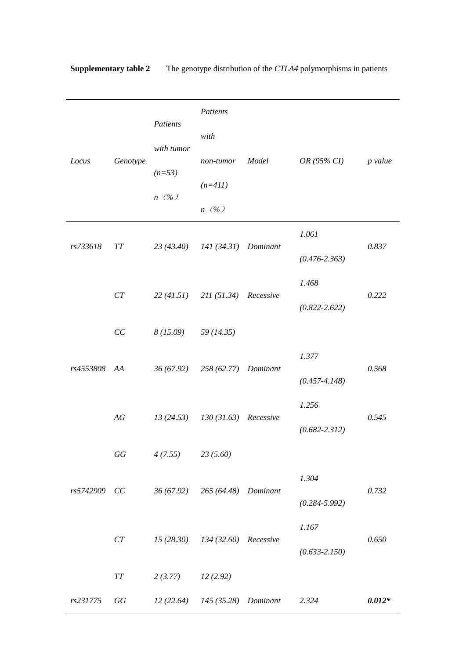| Locus        | Genotype       | Patients<br>with tumor<br>$(n=53)$<br>$n(\%)$ | Patients                         |       |                   |          |  |
|--------------|----------------|-----------------------------------------------|----------------------------------|-------|-------------------|----------|--|
|              |                |                                               | with                             |       |                   |          |  |
|              |                |                                               | non-tumor                        | Model | OR (95% CI)       | p value  |  |
|              |                |                                               | $(n=411)$                        |       |                   |          |  |
|              |                |                                               | $n(\%)$                          |       |                   |          |  |
|              |                |                                               |                                  |       | 1.061             |          |  |
| rs733618     | TT             | 23 (43.40)                                    | 141 (34.31) Dominant             |       | $(0.476 - 2.363)$ | 0.837    |  |
|              |                |                                               |                                  |       | 1.468             |          |  |
|              | CT             |                                               | 22 (41.51) 211 (51.34) Recessive |       | $(0.822 - 2.622)$ | 0.222    |  |
|              | $\cal CC$      | $8(15.09)$ $59(14.35)$                        |                                  |       |                   |          |  |
|              |                |                                               |                                  |       | 1.377             |          |  |
| rs4553808 AA |                | 36 (67.92)                                    | 258 (62.77) Dominant             |       | $(0.457 - 4.148)$ | 0.568    |  |
|              |                |                                               |                                  |       | 1.256             |          |  |
|              | AG             | 13(24.53)                                     | $130(31.63)$ Recessive           |       | $(0.682 - 2.312)$ | 0.545    |  |
|              | $G\mathcal{G}$ | 4(7.55)                                       | 23(5.60)                         |       |                   |          |  |
|              |                |                                               |                                  |       | 1.304             |          |  |
| rs5742909 CC |                |                                               | 36 (67.92) 265 (64.48) Dominant  |       | $(0.284 - 5.992)$ | 0.732    |  |
|              |                |                                               |                                  |       | 1.167             |          |  |
|              | CT             |                                               | 15 (28.30) 134 (32.60) Recessive |       | $(0.633 - 2.150)$ | 0.650    |  |
|              | $T\!T$         | 2(3.77)                                       | 12(2.92)                         |       |                   |          |  |
| rs231775     | GG             | 12(22.64)                                     | 145 (35.28) Dominant             |       | 2.324             | $0.012*$ |  |
|              |                |                                               |                                  |       |                   |          |  |

**Supplementary table 2** The genotype distribution of the *CTLA4* polymorphisms in patients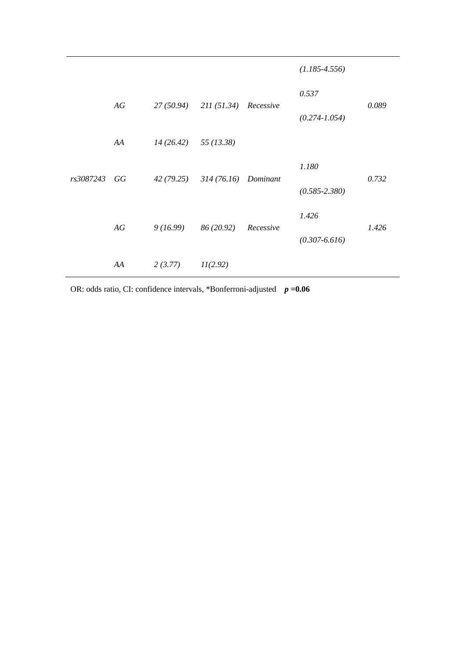|           |    |                                  |                                 |           | $(1.185 - 4.556)$ |       |
|-----------|----|----------------------------------|---------------------------------|-----------|-------------------|-------|
|           |    |                                  |                                 |           | 0.537             |       |
|           | AG | 27 (50.94) 211 (51.34) Recessive |                                 |           | $(0.274 - 1.054)$ | 0.089 |
|           | AA | $14(26.42)$ 55 (13.38)           |                                 |           |                   |       |
|           | GG |                                  | 42 (79.25) 314 (76.16) Dominant |           | 1.180             | 0.732 |
| rs3087243 |    |                                  |                                 |           | $(0.585 - 2.380)$ |       |
|           | AG | 9(16.99)                         | 86 (20.92)                      | Recessive | 1.426             | 1.426 |
|           |    |                                  |                                 |           | $(0.307 - 6.616)$ |       |
|           | AA | 2(3.77)                          | 11(2.92)                        |           |                   |       |

OR: odds ratio, CI: confidence intervals, \*Bonferroni-adjusted *p* **=0.06**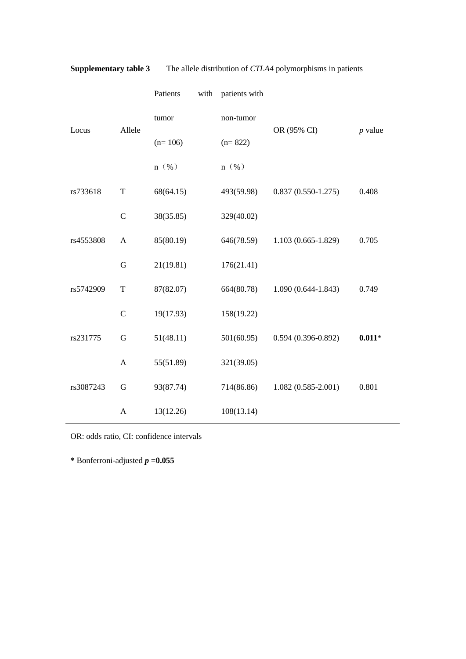|           |               | Patients  | with | patients with |                        |           |  |
|-----------|---------------|-----------|------|---------------|------------------------|-----------|--|
| Locus     | Allele        | tumor     |      | non-tumor     |                        | $p$ value |  |
|           |               | $(n=106)$ |      | $(n=822)$     | OR (95% CI)            |           |  |
|           |               | $n(\%)$   |      | $n(\%)$       |                        |           |  |
| rs733618  | $\mathbf T$   | 68(64.15) |      | 493(59.98)    | $0.837(0.550-1.275)$   | 0.408     |  |
|           | $\mathcal{C}$ | 38(35.85) |      | 329(40.02)    |                        |           |  |
| rs4553808 | $\mathbf{A}$  | 85(80.19) |      | 646(78.59)    | $1.103(0.665-1.829)$   | 0.705     |  |
|           | $\mathbf G$   | 21(19.81) |      | 176(21.41)    |                        |           |  |
| rs5742909 | $\mathbf T$   | 87(82.07) |      | 664(80.78)    | $1.090(0.644 - 1.843)$ | 0.749     |  |
|           | $\mathcal{C}$ | 19(17.93) |      | 158(19.22)    |                        |           |  |
| rs231775  | G             | 51(48.11) |      | 501(60.95)    | $0.594(0.396 - 0.892)$ | $0.011*$  |  |
|           | $\mathbf{A}$  | 55(51.89) |      | 321(39.05)    |                        |           |  |
| rs3087243 | $\mathbf G$   | 93(87.74) |      | 714(86.86)    | $1.082(0.585 - 2.001)$ | 0.801     |  |
|           | $\mathbf{A}$  | 13(12.26) |      | 108(13.14)    |                        |           |  |

**Supplementary table 3** The allele distribution of *CTLA4* polymorphisms in patients

OR: odds ratio, CI: confidence intervals

**\*** Bonferroni-adjusted *p* **=0.055**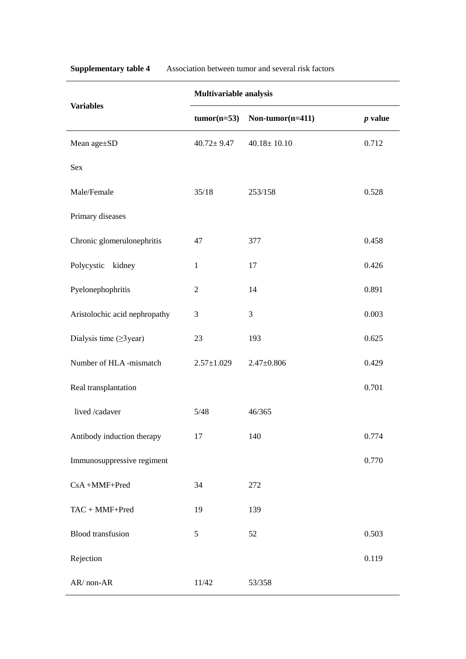| <b>Variables</b>               | Multivariable analysis |                     |           |  |  |  |  |
|--------------------------------|------------------------|---------------------|-----------|--|--|--|--|
|                                | $tumor(n=53)$          | Non-tumor $(n=411)$ | $p$ value |  |  |  |  |
| Mean age±SD                    | $40.72 \pm 9.47$       | $40.18 \pm 10.10$   | 0.712     |  |  |  |  |
| Sex                            |                        |                     |           |  |  |  |  |
| Male/Female                    | 35/18                  | 253/158             | 0.528     |  |  |  |  |
| Primary diseases               |                        |                     |           |  |  |  |  |
| Chronic glomerulonephritis     | 47                     | 377                 | 0.458     |  |  |  |  |
| Polycystic<br>kidney           | $\mathbf{1}$           | 17                  | 0.426     |  |  |  |  |
| Pyelonephophritis              | $\overline{2}$         | 14                  | 0.891     |  |  |  |  |
| Aristolochic acid nephropathy  | 3                      | 3                   | 0.003     |  |  |  |  |
| Dialysis time $( \geq 3$ year) | 23                     | 193                 | 0.625     |  |  |  |  |
| Number of HLA -mismatch        | $2.57 \pm 1.029$       | $2.47 \pm 0.806$    | 0.429     |  |  |  |  |
| Real transplantation           |                        |                     | 0.701     |  |  |  |  |
| lived /cadaver                 | 5/48                   | 46/365              |           |  |  |  |  |
| Antibody induction therapy     | 17                     | 140                 | 0.774     |  |  |  |  |
| Immunosuppressive regiment     |                        |                     | 0.770     |  |  |  |  |
| CsA+MMF+Pred                   | 34                     | 272                 |           |  |  |  |  |
| TAC + MMF+Pred                 | 19                     | 139                 |           |  |  |  |  |
| <b>Blood</b> transfusion       | 5                      | 52                  | 0.503     |  |  |  |  |
| Rejection                      |                        |                     | 0.119     |  |  |  |  |
| AR/non-AR                      | 11/42                  | 53/358              |           |  |  |  |  |

**Supplementary table 4** Association between tumor and several risk factors